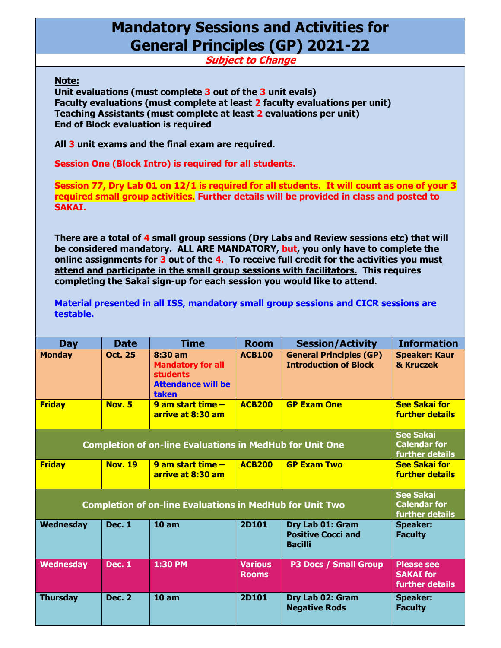## **Mandatory Sessions and Activities for General Principles (GP) 2021-22**

**Subject to Change**

**Note:**

**Unit evaluations (must complete 3 out of the 3 unit evals) Faculty evaluations (must complete at least 2 faculty evaluations per unit) Teaching Assistants (must complete at least 2 evaluations per unit) End of Block evaluation is required**

**All 3 unit exams and the final exam are required.**

**Session One (Block Intro) is required for all students.**

**Session 77, Dry Lab 01 on 12/1 is required for all students. It will count as one of your 3 required small group activities. Further details will be provided in class and posted to SAKAI.**

**There are a total of 4 small group sessions (Dry Labs and Review sessions etc) that will be considered mandatory. ALL ARE MANDATORY, but, you only have to complete the online assignments for 3 out of the 4. To receive full credit for the activities you must attend and participate in the small group sessions with facilitators. This requires completing the Sakai sign-up for each session you would like to attend.** 

**Material presented in all ISS, mandatory small group sessions and CICR sessions are testable.**

| <b>Day</b>                                                      | <b>Date</b>    | <b>Time</b>                                                                                  | <b>Room</b>                    | <b>Session/Activity</b>                                         | <b>Information</b>                                              |
|-----------------------------------------------------------------|----------------|----------------------------------------------------------------------------------------------|--------------------------------|-----------------------------------------------------------------|-----------------------------------------------------------------|
| <b>Monday</b>                                                   | <b>Oct. 25</b> | 8:30 am<br><b>Mandatory for all</b><br><b>students</b><br><b>Attendance will be</b><br>taken | <b>ACB100</b>                  | <b>General Principles (GP)</b><br><b>Introduction of Block</b>  | <b>Speaker: Kaur</b><br>& Kruczek                               |
| <b>Friday</b>                                                   | <b>Nov. 5</b>  | 9 am start time $-$<br>arrive at 8:30 am                                                     | <b>ACB200</b>                  | <b>GP Exam One</b>                                              | <b>See Sakai for</b><br><b>further details</b>                  |
| <b>Completion of on-line Evaluations in MedHub for Unit One</b> |                |                                                                                              |                                |                                                                 | <b>See Sakai</b><br><b>Calendar for</b><br>further details      |
| <b>Friday</b>                                                   | <b>Nov. 19</b> | 9 am start time $-$<br>arrive at 8:30 am                                                     | <b>ACB200</b>                  | <b>GP Exam Two</b>                                              | <b>See Sakai for</b><br><b>further details</b>                  |
| <b>Completion of on-line Evaluations in MedHub for Unit Two</b> |                |                                                                                              |                                |                                                                 | <b>See Sakai</b><br><b>Calendar for</b><br>further details      |
| Wednesday                                                       | <b>Dec. 1</b>  | 10 <sub>am</sub>                                                                             | <b>2D101</b>                   | Dry Lab 01: Gram<br><b>Positive Cocci and</b><br><b>Bacilli</b> | <b>Speaker:</b><br><b>Faculty</b>                               |
| <b>Wednesday</b>                                                | <b>Dec. 1</b>  | 1:30 PM                                                                                      | <b>Various</b><br><b>Rooms</b> | <b>P3 Docs / Small Group</b>                                    | <b>Please see</b><br><b>SAKAI</b> for<br><b>further details</b> |
| <b>Thursday</b>                                                 | <b>Dec. 2</b>  | 10 am                                                                                        | 2D101                          | Dry Lab 02: Gram<br><b>Negative Rods</b>                        | <b>Speaker:</b><br><b>Faculty</b>                               |